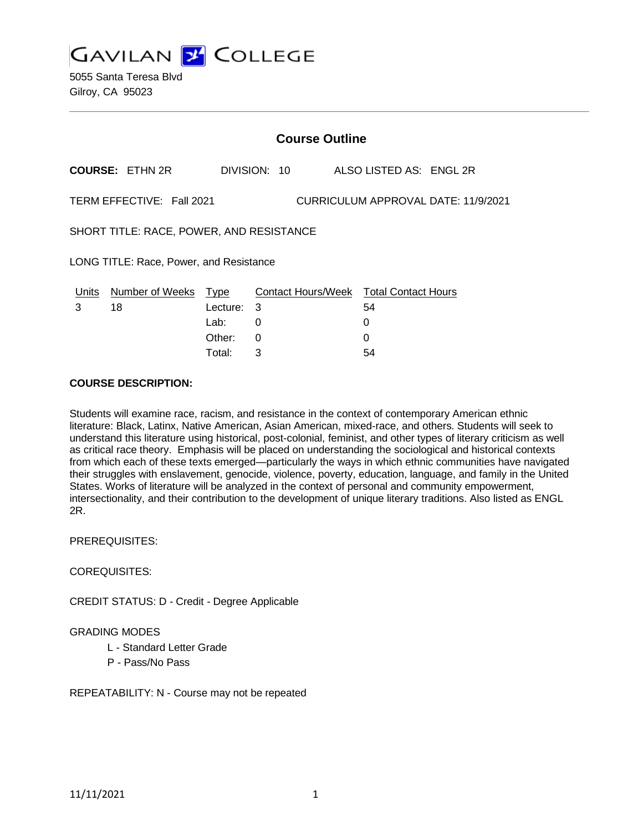**GAVILAN Y COLLEGE** 

|                                                                  | <b>Course Outline</b>  |             |    |              |  |                                        |
|------------------------------------------------------------------|------------------------|-------------|----|--------------|--|----------------------------------------|
|                                                                  | <b>COURSE: ETHN 2R</b> |             |    | DIVISION: 10 |  | ALSO LISTED AS: ENGL 2R                |
| TERM EFFECTIVE: Fall 2021<br>CURRICULUM APPROVAL DATE: 11/9/2021 |                        |             |    |              |  |                                        |
| SHORT TITLE: RACE, POWER, AND RESISTANCE                         |                        |             |    |              |  |                                        |
| LONG TITLE: Race, Power, and Resistance                          |                        |             |    |              |  |                                        |
| Units                                                            | <b>Number of Weeks</b> | <u>Type</u> |    |              |  | Contact Hours/Week Total Contact Hours |
| 3                                                                | 18                     | Lecture:    | -3 |              |  | 54                                     |
|                                                                  |                        | Lab:        | 0  |              |  | 0                                      |
|                                                                  |                        | Other:      | 0  |              |  | 0                                      |
|                                                                  |                        | Total:      | 3  |              |  | 54                                     |

#### **COURSE DESCRIPTION:**

Students will examine race, racism, and resistance in the context of contemporary American ethnic literature: Black, Latinx, Native American, Asian American, mixed-race, and others. Students will seek to understand this literature using historical, post-colonial, feminist, and other types of literary criticism as well as critical race theory. Emphasis will be placed on understanding the sociological and historical contexts from which each of these texts emerged—particularly the ways in which ethnic communities have navigated their struggles with enslavement, genocide, violence, poverty, education, language, and family in the United States. Works of literature will be analyzed in the context of personal and community empowerment, intersectionality, and their contribution to the development of unique literary traditions. Also listed as ENGL 2R.

PREREQUISITES:

#### COREQUISITES:

CREDIT STATUS: D - Credit - Degree Applicable

### GRADING MODES

- L Standard Letter Grade
- P Pass/No Pass

REPEATABILITY: N - Course may not be repeated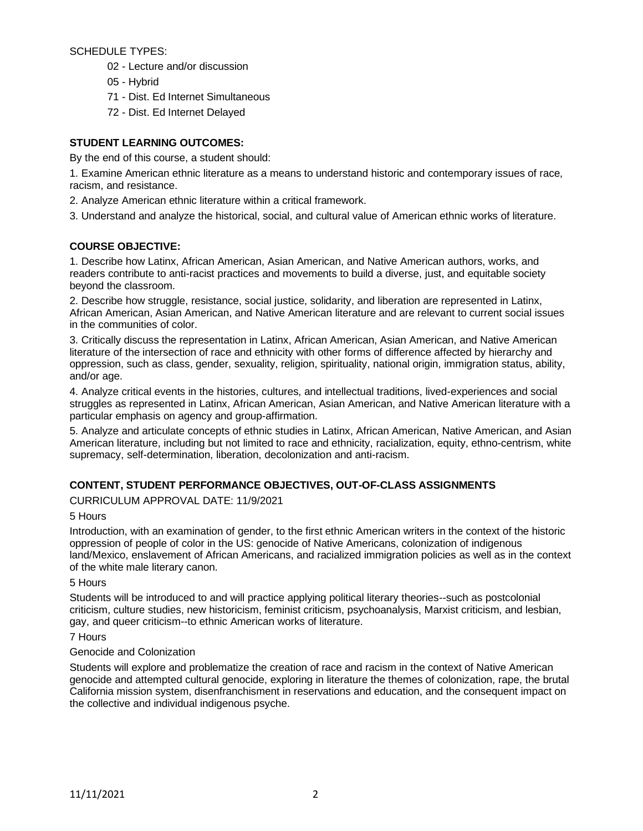SCHEDULE TYPES:

- 02 Lecture and/or discussion
- 05 Hybrid
- 71 Dist. Ed Internet Simultaneous
- 72 Dist. Ed Internet Delayed

# **STUDENT LEARNING OUTCOMES:**

By the end of this course, a student should:

1. Examine American ethnic literature as a means to understand historic and contemporary issues of race, racism, and resistance.

2. Analyze American ethnic literature within a critical framework.

3. Understand and analyze the historical, social, and cultural value of American ethnic works of literature.

### **COURSE OBJECTIVE:**

1. Describe how Latinx, African American, Asian American, and Native American authors, works, and readers contribute to anti-racist practices and movements to build a diverse, just, and equitable society beyond the classroom.

2. Describe how struggle, resistance, social justice, solidarity, and liberation are represented in Latinx, African American, Asian American, and Native American literature and are relevant to current social issues in the communities of color.

3. Critically discuss the representation in Latinx, African American, Asian American, and Native American literature of the intersection of race and ethnicity with other forms of difference affected by hierarchy and oppression, such as class, gender, sexuality, religion, spirituality, national origin, immigration status, ability, and/or age.

4. Analyze critical events in the histories, cultures, and intellectual traditions, lived-experiences and social struggles as represented in Latinx, African American, Asian American, and Native American literature with a particular emphasis on agency and group-affirmation.

5. Analyze and articulate concepts of ethnic studies in Latinx, African American, Native American, and Asian American literature, including but not limited to race and ethnicity, racialization, equity, ethno-centrism, white supremacy, self-determination, liberation, decolonization and anti-racism.

### **CONTENT, STUDENT PERFORMANCE OBJECTIVES, OUT-OF-CLASS ASSIGNMENTS**

CURRICULUM APPROVAL DATE: 11/9/2021

5 Hours

Introduction, with an examination of gender, to the first ethnic American writers in the context of the historic oppression of people of color in the US: genocide of Native Americans, colonization of indigenous land/Mexico, enslavement of African Americans, and racialized immigration policies as well as in the context of the white male literary canon.

5 Hours

Students will be introduced to and will practice applying political literary theories--such as postcolonial criticism, culture studies, new historicism, feminist criticism, psychoanalysis, Marxist criticism, and lesbian, gay, and queer criticism--to ethnic American works of literature.

7 Hours

### Genocide and Colonization

Students will explore and problematize the creation of race and racism in the context of Native American genocide and attempted cultural genocide, exploring in literature the themes of colonization, rape, the brutal California mission system, disenfranchisment in reservations and education, and the consequent impact on the collective and individual indigenous psyche.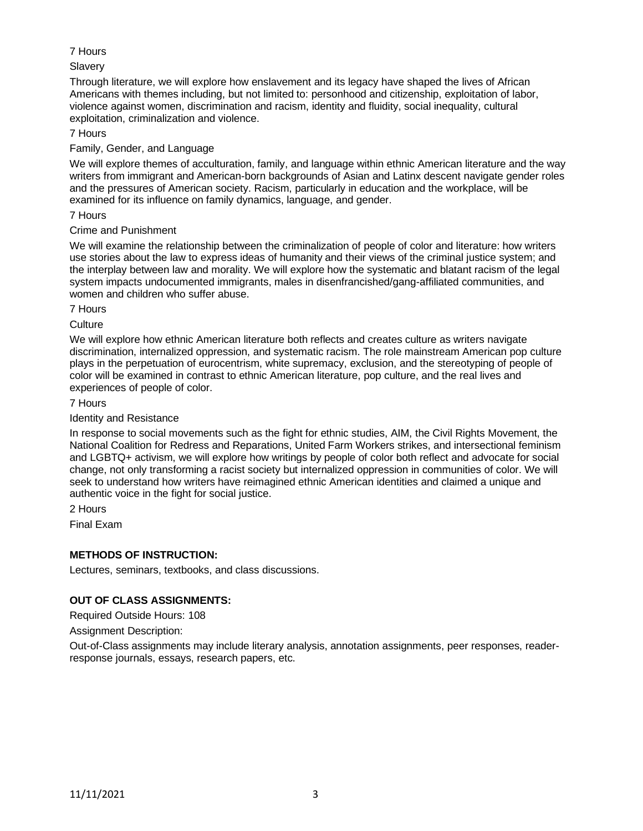# 7 Hours

# Slavery

Through literature, we will explore how enslavement and its legacy have shaped the lives of African Americans with themes including, but not limited to: personhood and citizenship, exploitation of labor, violence against women, discrimination and racism, identity and fluidity, social inequality, cultural exploitation, criminalization and violence.

## 7 Hours

## Family, Gender, and Language

We will explore themes of acculturation, family, and language within ethnic American literature and the way writers from immigrant and American-born backgrounds of Asian and Latinx descent navigate gender roles and the pressures of American society. Racism, particularly in education and the workplace, will be examined for its influence on family dynamics, language, and gender.

### 7 Hours

## Crime and Punishment

We will examine the relationship between the criminalization of people of color and literature: how writers use stories about the law to express ideas of humanity and their views of the criminal justice system; and the interplay between law and morality. We will explore how the systematic and blatant racism of the legal system impacts undocumented immigrants, males in disenfrancished/gang-affiliated communities, and women and children who suffer abuse.

#### 7 Hours

## **Culture**

We will explore how ethnic American literature both reflects and creates culture as writers navigate discrimination, internalized oppression, and systematic racism. The role mainstream American pop culture plays in the perpetuation of eurocentrism, white supremacy, exclusion, and the stereotyping of people of color will be examined in contrast to ethnic American literature, pop culture, and the real lives and experiences of people of color.

### 7 Hours

# Identity and Resistance

In response to social movements such as the fight for ethnic studies, AIM, the Civil Rights Movement, the National Coalition for Redress and Reparations, United Farm Workers strikes, and intersectional feminism and LGBTQ+ activism, we will explore how writings by people of color both reflect and advocate for social change, not only transforming a racist society but internalized oppression in communities of color. We will seek to understand how writers have reimagined ethnic American identities and claimed a unique and authentic voice in the fight for social justice.

2 Hours

Final Exam

# **METHODS OF INSTRUCTION:**

Lectures, seminars, textbooks, and class discussions.

# **OUT OF CLASS ASSIGNMENTS:**

Required Outside Hours: 108

Assignment Description:

Out-of-Class assignments may include literary analysis, annotation assignments, peer responses, readerresponse journals, essays, research papers, etc.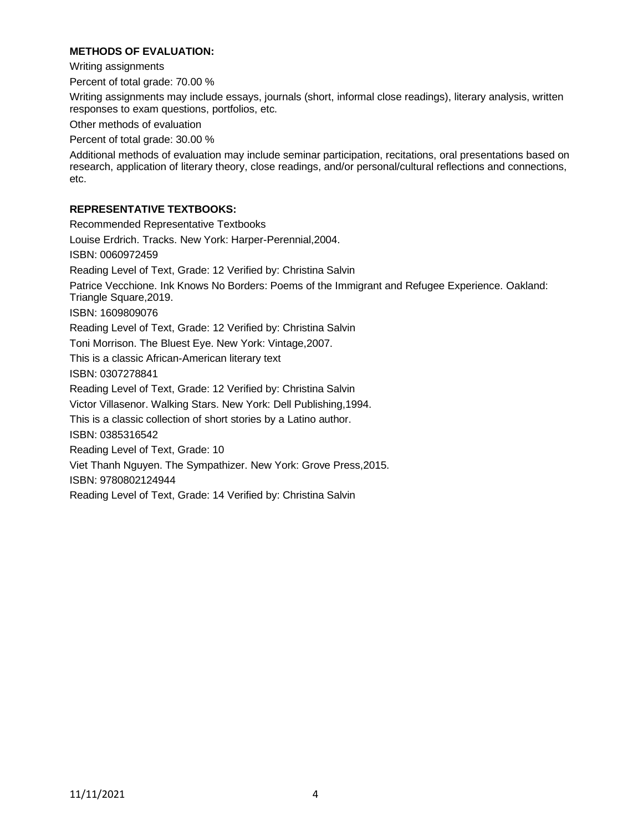## **METHODS OF EVALUATION:**

Writing assignments

Percent of total grade: 70.00 %

Writing assignments may include essays, journals (short, informal close readings), literary analysis, written responses to exam questions, portfolios, etc.

Other methods of evaluation

Percent of total grade: 30.00 %

Additional methods of evaluation may include seminar participation, recitations, oral presentations based on research, application of literary theory, close readings, and/or personal/cultural reflections and connections, etc.

### **REPRESENTATIVE TEXTBOOKS:**

Recommended Representative Textbooks Louise Erdrich. Tracks. New York: Harper-Perennial,2004. ISBN: 0060972459 Reading Level of Text, Grade: 12 Verified by: Christina Salvin Patrice Vecchione. Ink Knows No Borders: Poems of the Immigrant and Refugee Experience. Oakland: Triangle Square,2019. ISBN: 1609809076 Reading Level of Text, Grade: 12 Verified by: Christina Salvin Toni Morrison. The Bluest Eye. New York: Vintage,2007. This is a classic African-American literary text ISBN: 0307278841 Reading Level of Text, Grade: 12 Verified by: Christina Salvin Victor Villasenor. Walking Stars. New York: Dell Publishing,1994. This is a classic collection of short stories by a Latino author. ISBN: 0385316542 Reading Level of Text, Grade: 10 Viet Thanh Nguyen. The Sympathizer. New York: Grove Press,2015. ISBN: 9780802124944 Reading Level of Text, Grade: 14 Verified by: Christina Salvin